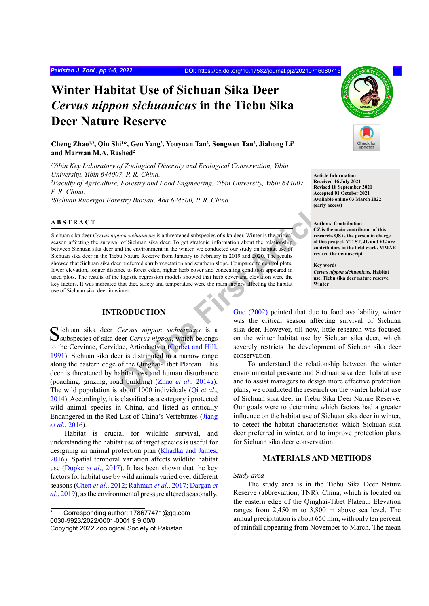# **Winter Habitat Use of Sichuan Sika Deer**  *Cervus nippon sichuanicus* **in the Tiebu Sika Deer Nature Reserve**

**Cheng Zhao1,2, Qin Shi1 \*, Gen Yang3 , Youyuan Tan2 , Songwen Tan2 , Jiahong Li2 and Marwan M.A. Rashed2**

*1 Yibin Key Laboratory of Zoological Diversity and Ecological Conservation, Yibin University, Yibin 644007, P. R. China. 2 Faculty of Agriculture, Forestry and Food Engineering, Yibin University, Yibin 644007, P. R. China. 3 Sichuan Ruoergai Forestry Bureau, Aba 624500, P. R. China.*

#### **ABSTRACT**

**Example 11**<br> **CENT ARTIC CONDIGINERAT CALL CONDUCTION**<br> **CENT ARTIC CONDIGINATELY**<br> **CENT ARTIC CONDIGITION**<br> **CENT ARTIC CONDIGITION**<br> **CENT ARTIC CONDIGITION**<br> **CENT ARTIC CONDIGITION**<br> **CENT ARTIC CONDIGITION**<br> **CENT A** Sichuan sika deer *Cervus nippon sichuanicus* is a threatened subspecies of sika deer. Winter is the critical season affecting the survival of Sichuan sika deer. To get strategic information about the relationship between Sichuan sika deer and the environment in the winter, we conducted our study on habitat use of Sichuan sika deer in the Tiebu Nature Reserve from January to February in 2019 and 2020. The results showed that Sichuan sika deer preferred shrub vegetation and southern slope. Compared to control plots, lower elevation, longer distance to forest edge, higher herb cover and concealing condition appeared in used plots. The results of the logistic regression models showed that herb cover and elevation were the key factors. It was indicated that diet, safety and temperature were the main factors affecting the habitat use of Sichuan sika deer in winter.

# **INTRODUCTION**

Sichuan sika deer *Cervus nippon sichuanicus* is a subspecies of sika deer *Cervus nippon*, which belongs to the Cervinae, Cervidae, Artiodactyla (Corbet and Hill, [1991\)](#page-4-0). Sichuan sika deer is distributed in a narrow range along the eastern edge of the Qinghai-Tibet Plateau. This deer is threatened by habitat loss and human disturbance (poaching, grazing, road building) (Zhao *et al*., 2014a). The wild population is about 1000 individuals (Qi *et al*., [2014](#page-5-1)). Accordingly, it is classified as a category i protected wild animal species in China, and listed as critically Endangered in the Red List of China's Vertebrates [\(Jiang](#page-4-1) *et al*[., 2016\)](#page-4-1).

Habitat is crucial for wildlife survival, and understanding the habitat use of target species is useful for designing an animal protection plan [\(Khadka and James,](#page-5-2) [2016\)](#page-5-2). Spatial temporal variation affects wildlife habitat use ([Dupke](#page-4-2) *et al*., 2017). It has been shown that the key factors for habitat use by wild animals varied over different seasons (Chen *et al*[., 2012;](#page-4-3) [Rahman](#page-5-3) *et al*., 2017; [Dargan](#page-4-4) *et al*[., 2019](#page-4-4)), as the environmental pressure altered seasonally.



To understand the relationship between the winter environmental pressure and Sichuan sika deer habitat use and to assist managers to design more effective protection plans, we conducted the research on the winter habitat use of Sichuan sika deer in Tiebu Sika Deer Nature Reserve. Our goals were to determine which factors had a greater influence on the habitat use of Sichuan sika deer in winter, to detect the habitat characteristics which Sichuan sika deer preferred in winter, and to improve protection plans for Sichuan sika deer conservation.

## **MATERIALS AND METHODS**

#### *Study area*

The study area is in the Tiebu Sika Deer Nature Reserve (abbreviation, TNR), China, which is located on the eastern edge of the Qinghai-Tibet Plateau. Elevation ranges from 2,450 m to 3,800 m above sea level. The annual precipitation is about 650 mm, with only ten percent of rainfall appearing from November to March. The mean

**Article Information Received 16 July 2021 Revised 18 September 2021 Accepted 01 October 2021 Available online 03 March 2022 (early access)**

**Authors' Contribution CZ is the main contributor of this research. QS is the person in charge of this project. YT, ST, JL and YG are contributors in the field work. MMAR revised the manuscript.**

**Key words** *Cervus nippon sichuanicus***, Habitat use, Tiebu sika deer nature reserve, Winter**



Corresponding author: 178677471@qq.com 0030-9923/2022/0001-0001 \$ 9.00/0 Copyright 2022 Zoological Society of Pakistan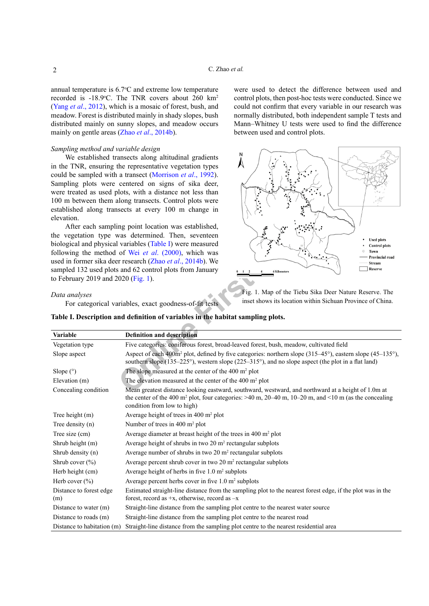annual temperature is  $6.7$ °C and extreme low temperature recorded is  $-18.9$ °C. The TNR covers about 260 km<sup>2</sup> (Yang *et al*[., 2012\)](#page-5-4), which is a mosaic of forest, bush, and meadow. Forest is distributed mainly in shady slopes, bush distributed mainly on sunny slopes, and meadow occurs mainly on gentle areas (Zhao *et al*[., 2014b\)](#page-5-5).

#### *Sampling method and variable design*

We established transects along altitudinal gradients in the TNR, ensuring the representative vegetation types could be sampled with a transect ([Morrison](#page-5-6) *et al*., 1992). Sampling plots were centered on signs of sika deer, were treated as used plots, with a distance not less than 100 m between them along transects. Control plots were established along transects at every 100 m change in elevation.

were used to detect the difference between used and control plots, then post-hoc tests were conducted. Since we could not confirm that every variable in our research was normally distributed, both independent sample T tests and Mann–Whitney U tests were used to find the difference between used and control plots.

<span id="page-1-1"></span>

# *Data analyses*

| elevation.                                                                                                 | Ĭ<br>established along transects at every 100 m change in                                                                                                                                                                                                  |  |  |  |  |  |
|------------------------------------------------------------------------------------------------------------|------------------------------------------------------------------------------------------------------------------------------------------------------------------------------------------------------------------------------------------------------------|--|--|--|--|--|
|                                                                                                            |                                                                                                                                                                                                                                                            |  |  |  |  |  |
| After each sampling point location was established,<br>the vegetation type was determined. Then, seventeen |                                                                                                                                                                                                                                                            |  |  |  |  |  |
|                                                                                                            | <b>Used plots</b><br>biological and physical variables (Table I) were measured<br><b>Control</b> plots                                                                                                                                                     |  |  |  |  |  |
|                                                                                                            | following the method of Wei et al. (2000), which was<br>Town                                                                                                                                                                                               |  |  |  |  |  |
|                                                                                                            | Provincial road<br>used in former sika deer research (Zhao et al., 2014b). We<br>Stream                                                                                                                                                                    |  |  |  |  |  |
|                                                                                                            | sampled 132 used plots and 62 control plots from January<br>Reserve<br><b>6 Kilometers</b>                                                                                                                                                                 |  |  |  |  |  |
| to February 2019 and 2020 (Fig. 1).                                                                        |                                                                                                                                                                                                                                                            |  |  |  |  |  |
|                                                                                                            | Fig. 1. Map of the Tiebu Sika Deer Nature Reserve. The                                                                                                                                                                                                     |  |  |  |  |  |
| Data analyses                                                                                              | inset shows its location within Sichuan Province of China.                                                                                                                                                                                                 |  |  |  |  |  |
|                                                                                                            | For categorical variables, exact goodness-of-fit tests                                                                                                                                                                                                     |  |  |  |  |  |
|                                                                                                            | Table I. Description and definition of variables in the habitat sampling plots.                                                                                                                                                                            |  |  |  |  |  |
|                                                                                                            |                                                                                                                                                                                                                                                            |  |  |  |  |  |
| <b>Variable</b>                                                                                            | <b>Definition and description</b>                                                                                                                                                                                                                          |  |  |  |  |  |
| Vegetation type                                                                                            | Five categories: coniferous forest, broad-leaved forest, bush, meadow, cultivated field                                                                                                                                                                    |  |  |  |  |  |
| Slope aspect                                                                                               | Aspect of each $400m^2$ plot, defined by five categories: northern slope $(315-45^{\circ})$ , eastern slope $(45-135^{\circ})$ ,<br>southern slope $(135-225^{\circ})$ , western slope $(225-315^{\circ})$ , and no slope aspect (the plot in a flat land) |  |  |  |  |  |
| Slope $(°)$                                                                                                | The slope measured at the center of the 400 m <sup>2</sup> plot                                                                                                                                                                                            |  |  |  |  |  |
| Elevation (m)                                                                                              | The elevation measured at the center of the 400 m <sup>2</sup> plot                                                                                                                                                                                        |  |  |  |  |  |
| Concealing condition                                                                                       | Mean greatest distance looking eastward, southward, westward, and northward at a height of 1.0m at                                                                                                                                                         |  |  |  |  |  |
|                                                                                                            | the center of the 400 m <sup>2</sup> plot, four categories: $>40$ m, 20–40 m, 10–20 m, and <10 m (as the concealing<br>condition from low to high)                                                                                                         |  |  |  |  |  |
| Tree height (m)                                                                                            | Average height of trees in 400 m <sup>2</sup> plot                                                                                                                                                                                                         |  |  |  |  |  |
| Tree density (n)                                                                                           | Number of trees in 400 m <sup>2</sup> plot                                                                                                                                                                                                                 |  |  |  |  |  |
| Tree size (cm)                                                                                             | Average diameter at breast height of the trees in 400 m <sup>2</sup> plot                                                                                                                                                                                  |  |  |  |  |  |
| Shrub height (m)                                                                                           | Average height of shrubs in two 20 m <sup>2</sup> rectangular subplots                                                                                                                                                                                     |  |  |  |  |  |
| Shrub density (n)                                                                                          | Average number of shrubs in two 20 m <sup>2</sup> rectangular subplots                                                                                                                                                                                     |  |  |  |  |  |
| Shrub cover $(\% )$                                                                                        | Average percent shrub cover in two 20 m <sup>2</sup> rectangular subplots                                                                                                                                                                                  |  |  |  |  |  |
| Herb height (cm)                                                                                           | Average height of herbs in five $1.0 \text{ m}^2$ subplots                                                                                                                                                                                                 |  |  |  |  |  |
| Herb cover $(\% )$                                                                                         | Average percent herbs cover in five 1.0 m <sup>2</sup> subplots                                                                                                                                                                                            |  |  |  |  |  |
| Distance to forest edge<br>(m)                                                                             | Estimated straight-line distance from the sampling plot to the nearest forest edge, if the plot was in the<br>forest, record as $+x$ , otherwise, record as $-x$                                                                                           |  |  |  |  |  |
| Distance to water (m)                                                                                      | Straight-line distance from the sampling plot centre to the nearest water source                                                                                                                                                                           |  |  |  |  |  |
| Distance to roads (m)                                                                                      | Straight-line distance from the sampling plot centre to the nearest road                                                                                                                                                                                   |  |  |  |  |  |
| Distance to habitation (m)                                                                                 | Straight-line distance from the sampling plot centre to the nearest residential area                                                                                                                                                                       |  |  |  |  |  |

<span id="page-1-0"></span>**Table I. Description and definition of variables in the habitat sampling plots.**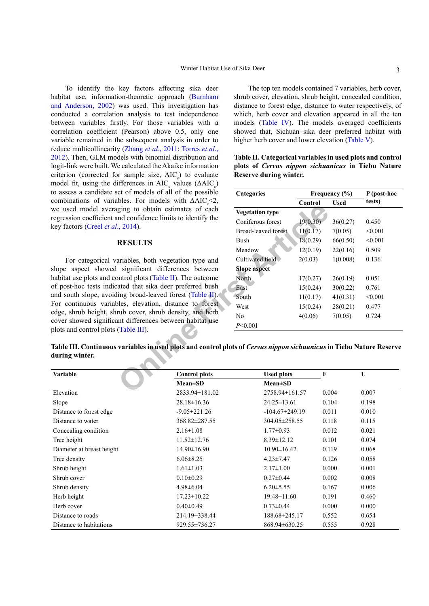To identify the key factors affecting sika deer habitat use, information-theoretic approach ([Burnham](#page-4-6) [and Anderson, 2002\)](#page-4-6) was used. This investigation has conducted a correlation analysis to test independence between variables firstly. For those variables with a correlation coefficient (Pearson) above 0.5, only one variable remained in the subsequent analysis in order to reduce multicollinearity ([Zhang](#page-5-8) *et al*., 2011; Torres *et al*., 2012). Then, GLM models with binomial distribution and logit-link were built. We calculated the Akaike information criterion (corrected for sample size,  $AIC_c$ ) to evaluate model fit, using the differences in  $AIC_c$  values ( $\triangle AIC_c$ ) to assess a candidate set of models of all of the possible combinations of variables. For models with  $\triangle AIC_{c} < 2$ , we used model averaging to obtain estimates of each regression coefficient and confidence limits to identify the key factors (Creel *et al*., 2014).

#### **RESULTS**

For categorical variables, both vegetation type and slope aspect showed significant differences between habitat use plots and control plots (Table II). The outcome of post-hoc tests indicated that sika deer preferred bush and south slope, avoiding broad-leaved forest (Table II). For continuous variables, elevation, distance to forest edge, shrub height, shrub cover, shrub density, and herb cover showed significant differences between habitat use plots and control plots (Table III).

The top ten models contained 7 variables, herb cover, shrub cover, elevation, shrub height, concealed condition, distance to forest edge, distance to water respectively, of which, herb cover and elevation appeared in all the ten models ([Table IV](#page-3-0)). The models averaged coefficients showed that, Sichuan sika deer preferred habitat with higher herb cover and lower elevation [\(Table V](#page-3-1)).

<span id="page-2-0"></span>

|  |                        | Table II. Categorical variables in used plots and control |  |  |
|--|------------------------|-----------------------------------------------------------|--|--|
|  |                        | plots of <i>Cervus nippon sichuanicus</i> in Tiebu Nature |  |  |
|  | Reserve during winter. |                                                           |  |  |

| et of models of all of the possible                                                                                                                                                           |                      | <b>Categories</b>                                                                              |          | Frequency $(\% )$ | P (post-hoc |  |  |
|-----------------------------------------------------------------------------------------------------------------------------------------------------------------------------------------------|----------------------|------------------------------------------------------------------------------------------------|----------|-------------------|-------------|--|--|
| bles. For models with $\triangle AIC \leq 2$ ,                                                                                                                                                |                      |                                                                                                | Control  | <b>Used</b>       | tests)      |  |  |
| ging to obtain estimates of each                                                                                                                                                              |                      | <b>Vegetation type</b>                                                                         |          |                   |             |  |  |
| nd confidence limits to identify the                                                                                                                                                          |                      | Coniferous forest                                                                              | 19(0.30) | 36(0.27)          | 0.450       |  |  |
| , 2014).                                                                                                                                                                                      |                      | <b>Broad-leaved forest</b>                                                                     | 11(0.17) | 7(0.05)           | < 0.001     |  |  |
| <b>RESULTS</b>                                                                                                                                                                                |                      | Bush                                                                                           | 18(0.29) | 66(0.50)          | < 0.001     |  |  |
|                                                                                                                                                                                               |                      | Meadow                                                                                         | 12(0.19) | 22(0.16)          | 0.509       |  |  |
| ariables, both vegetation type and                                                                                                                                                            |                      | Cultivated field                                                                               | 2(0.03)  | 1(0.008)          | 0.136       |  |  |
| significant differences between                                                                                                                                                               |                      | <b>Slope aspect</b>                                                                            |          |                   |             |  |  |
| $\phi$ plots (Table II). The outcome                                                                                                                                                          |                      | North                                                                                          | 17(0.27) | 26(0.19)          | 0.051       |  |  |
| ated that sika deer preferred bush<br>ing broad-leaved forest (Table II).<br>ples, elevation, distance to forest<br>rub cover, shrub density, and herb<br>int differences between habitat use |                      | East                                                                                           | 15(0.24) | 30(0.22)          | 0.761       |  |  |
|                                                                                                                                                                                               |                      | South                                                                                          | 11(0.17) | 41(0.31)          | < 0.001     |  |  |
|                                                                                                                                                                                               |                      | West                                                                                           | 15(0.24) | 28(0.21)          | 0.477       |  |  |
|                                                                                                                                                                                               |                      | No                                                                                             | 4(0.06)  | 7(0.05)           | 0.724       |  |  |
|                                                                                                                                                                                               |                      | P<0.001                                                                                        |          |                   |             |  |  |
| (Table III).                                                                                                                                                                                  |                      |                                                                                                |          |                   |             |  |  |
|                                                                                                                                                                                               |                      | variables in used plots and control plots of Cervus nippon sichuanicus in Tiebu Nature Reserve |          |                   |             |  |  |
|                                                                                                                                                                                               |                      |                                                                                                |          |                   |             |  |  |
|                                                                                                                                                                                               |                      |                                                                                                |          |                   |             |  |  |
|                                                                                                                                                                                               | <b>Control plots</b> | <b>Used plots</b>                                                                              |          | F                 | U           |  |  |
|                                                                                                                                                                                               | <b>Mean±SD</b>       | <b>Mean±SD</b>                                                                                 |          |                   |             |  |  |
|                                                                                                                                                                                               | $2833.04 + 181.02$   | $275894+16157$                                                                                 |          | 0.004             | 0.007       |  |  |

<span id="page-2-1"></span>**Table III. Continuous variables in used plots and control plots of** *Cervus nippon sichuanicus* **in Tiebu Nature Reserve during winter.**

| <b>Variable</b>           | <b>Control plots</b> | <b>Used plots</b>    | F     | U     |
|---------------------------|----------------------|----------------------|-------|-------|
|                           | $Mean \pm SD$        | $Mean \pm SD$        |       |       |
| Elevation                 | 2833.94±181.02       | 2758.94±161.57       | 0.004 | 0.007 |
| Slope                     | $28.18 \pm 16.36$    | $24.25 \pm 13.61$    | 0.104 | 0.198 |
| Distance to forest edge   | $-9.05 \pm 221.26$   | $-104.67 \pm 249.19$ | 0.011 | 0.010 |
| Distance to water         | 368.82±287.55        | 304.05 ± 258.55      | 0.118 | 0.115 |
| Concealing condition      | $2.16 \pm 1.08$      | $1.77 \pm 0.93$      | 0.012 | 0.021 |
| Tree height               | $11.52 \pm 12.76$    | $8.39 \pm 12.12$     | 0.101 | 0.074 |
| Diameter at breast height | $14.90 \pm 16.90$    | $10.90 \pm 16.42$    | 0.119 | 0.068 |
| Tree density              | $6.06 \pm 8.25$      | $4.23 \pm 7.47$      | 0.126 | 0.058 |
| Shrub height              | $1.61 \pm 1.03$      | $2.17 \pm 1.00$      | 0.000 | 0.001 |
| Shrub cover               | $0.10 \pm 0.29$      | $0.27 \pm 0.44$      | 0.002 | 0.008 |
| Shrub density             | $4.98\pm6.04$        | $6.20 \pm 5.55$      | 0.167 | 0.006 |
| Herb height               | $17.23 \pm 10.22$    | $19.48 \pm 11.60$    | 0.191 | 0.460 |
| Herb cover                | $0.40 \pm 0.49$      | $0.73 \pm 0.44$      | 0.000 | 0.000 |
| Distance to roads         | 214.19 $\pm$ 338.44  | 188.68±245.17        | 0.552 | 0.654 |
| Distance to habitations   | 929.55±736.27        | 868.94±630.25        | 0.555 | 0.928 |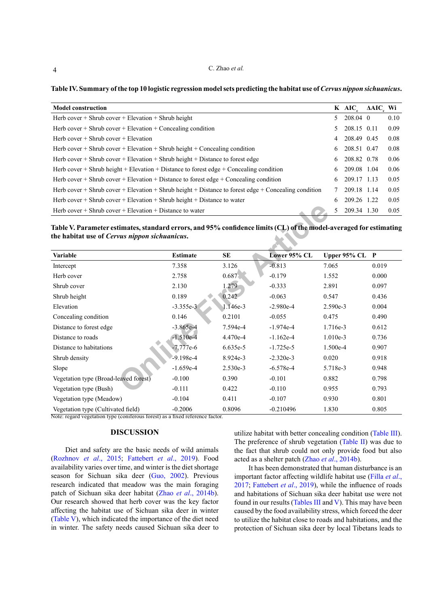#### C. Zhao *et al.*

<span id="page-3-0"></span>Table IV. Summary of the top 10 logistic regression model sets predicting the habitat use of *Cervus nippon sichuanicus*.

| <b>Model construction</b>                                                                            |                | K AIC            | ΔAIC Wi |      |
|------------------------------------------------------------------------------------------------------|----------------|------------------|---------|------|
| Herb cover $+$ Shrub cover $+$ Elevation $+$ Shrub height                                            | 5              | $208.04 \quad 0$ |         | 0.10 |
| Herb cover $+$ Shrub cover $+$ Elevation $+$ Concealing condition                                    | 5              | 208.15 0.11      |         | 0.09 |
| Herb cover $+$ Shrub cover $+$ Elevation                                                             | $\overline{4}$ | 208.49 0.45      |         | 0.08 |
| Herb cover $+$ Shrub cover $+$ Elevation $+$ Shrub height $+$ Concealing condition                   | 6              | 208.51 0.47      |         | 0.08 |
| Herb cover $+$ Shrub cover $+$ Elevation $+$ Shrub height $+$ Distance to forest edge                | 6              | 208.82 0.78      |         | 0.06 |
| Herb cover $+$ Shrub height $+$ Elevation $+$ Distance to forest edge $+$ Concealing condition       | 6              | 209.08 1.04      |         | 0.06 |
| Herb cover $+$ Shrub cover $+$ Elevation $+$ Distance to forest edge $+$ Concealing condition        | 6              | 209.17 1.13      |         | 0.05 |
| Herb cover + Shrub cover + Elevation + Shrub height + Distance to forest edge + Concealing condition |                | 209.18 1.14      |         | 0.05 |
| Herb cover $+$ Shrub cover $+$ Elevation $+$ Shrub height $+$ Distance to water                      | 6              | 209.26 1.22      |         | 0.05 |
| Herb cover $+$ Shrub cover $+$ Elevation $+$ Distance to water                                       | 5.             | 209.34 1.30      |         | 0.05 |

<span id="page-3-1"></span>

| Herb cover $+$ Shrub cover $+$ Elevation $+$ Distance to water                                                                                                      |                 |            |              | 209.34 1.30<br>5  | 0.05  |  |  |  |
|---------------------------------------------------------------------------------------------------------------------------------------------------------------------|-----------------|------------|--------------|-------------------|-------|--|--|--|
| Table V. Parameter estimates, standard errors, and 95% confidence limits (CL) of the model-averaged for estimating<br>the habitat use of Cervus nippon sichuanicus. |                 |            |              |                   |       |  |  |  |
| Variable                                                                                                                                                            | <b>Estimate</b> | <b>SE</b>  | Lower 95% CL | Upper $95\%$ CL P |       |  |  |  |
| Intercept                                                                                                                                                           | 7.358           | 3.126      | $-0.813$     | 7.065             | 0.019 |  |  |  |
| Herb cover                                                                                                                                                          | 2.758           | 0.687      | $-0.179$     | 1.552             | 0.000 |  |  |  |
| Shrub cover                                                                                                                                                         | 2.130           | 1.279      | $-0.333$     | 2.891             | 0.097 |  |  |  |
| Shrub height                                                                                                                                                        | 0.189           | 0.242      | $-0.063$     | 0.547             | 0.436 |  |  |  |
| Elevation                                                                                                                                                           | $-3.355e-3$     | 1.146e-3   | $-2.980e-4$  | 2.590e-3          | 0.004 |  |  |  |
| Concealing condition                                                                                                                                                | 0.146           | 0.2101     | $-0.055$     | 0.475             | 0.490 |  |  |  |
| Distance to forest edge                                                                                                                                             | $-3.865e-4$     | 7.594e-4   | $-1.974e-4$  | 1.716e-3          | 0.612 |  |  |  |
| Distance to roads                                                                                                                                                   | $-1.510e-4$     | 4.470e-4   | $-1.162e-4$  | 1.010e-3          | 0.736 |  |  |  |
| Distance to habitations                                                                                                                                             | $-7.777e-6$     | $6.635e-5$ | $-1.725e-5$  | 1.500e-4          | 0.907 |  |  |  |
| Shrub density                                                                                                                                                       | $-9.198e-4$     | 8.924e-3   | $-2.320e-3$  | 0.020             | 0.918 |  |  |  |
| Slope                                                                                                                                                               | $-1.659e-4$     | $2.530e-3$ | $-6.578e-4$  | 5.718e-3          | 0.948 |  |  |  |
| Vegetation type (Broad-leaved forest)                                                                                                                               | $-0.100$        | 0.390      | $-0.101$     | 0.882             | 0.798 |  |  |  |
| Vegetation type (Bush)                                                                                                                                              | $-0.111$        | 0.422      | $-0.110$     | 0.955             | 0.793 |  |  |  |
| Vegetation type (Meadow)                                                                                                                                            | $-0.104$        | 0.411      | $-0.107$     | 0.930             | 0.801 |  |  |  |
| Vegetation type (Cultivated field)                                                                                                                                  | $-0.2006$       | 0.8096     | $-0.210496$  | 1.830             | 0.805 |  |  |  |

Note: regard vegetation type (coniferous forest) as a fixed reference factor.

# **DISCUSSION**

Diet and safety are the basic needs of wild animals [\(Rozhnov](#page-5-9) *et al*., 2015; [Fattebert](#page-4-8) *et al*., 2019). Food availability varies over time, and winter is the diet shortage season for Sichuan sika deer [\(Guo, 2002](#page-4-5)). Previous research indicated that meadow was the main foraging patch of Sichuan sika deer habitat (Zhao *et al*[., 2014b\)](#page-5-5). Our research showed that herb cover was the key factor affecting the habitat use of Sichuan sika deer in winter [\(Table V\)](#page-3-1), which indicated the importance of the diet need in winter. The safety needs caused Sichuan sika deer to utilize habitat with better concealing condition [\(Table III](#page-2-1)). The preference of shrub vegetation ([Table II\)](#page-2-0) was due to the fact that shrub could not only provide food but also acted as a shelter patch (Zhao *et al*[., 2014b](#page-5-5)).

It has been demonstrated that human disturbance is an important factor affecting wildlife habitat use [\(Filla](#page-4-9) *et al*., [2017](#page-4-9); [Fattebert](#page-4-8) *et al*., 2019), while the influence of roads and habitations of Sichuan sika deer habitat use were not found in our results [\(Tables III](#page-2-1) and [V](#page-3-1)). This may have been caused by the food availability stress, which forced the deer to utilize the habitat close to roads and habitations, and the protection of Sichuan sika deer by local Tibetans leads to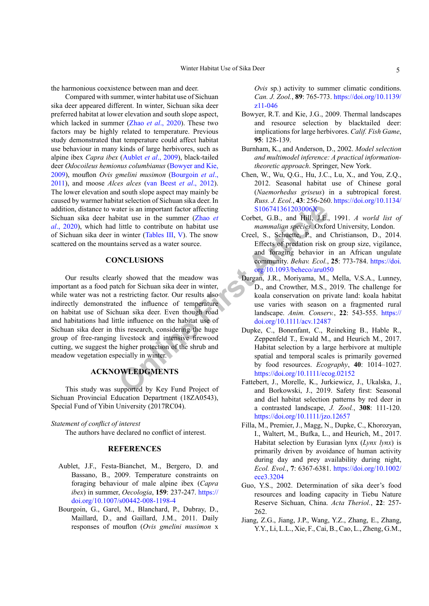the harmonious coexistence between man and deer.

Compared with summer, winter habitat use of Sichuan sika deer appeared different. In winter, Sichuan sika deer preferred habitat at lower elevation and south slope aspect, which lacked in summer (Zhao *et al*[., 2020](#page-5-10)). These two factors may be highly related to temperature. Previous study demonstrated that temperature could affect habitat use behaviour in many kinds of large herbivores, such as alpine ibex *Capra ibex* [\(Aublet](#page-4-10) *et al*., 2009), black-tailed deer *Odocoileus hemionus columbianus* [\(Bowyer and Kie,](#page-4-11) [2009](#page-4-11)), mouflon *Ovis gmelini musimon* ([Bourgoin](#page-4-6) *et al*., [2011](#page-4-6)), and moose *Alces alces* ([van Beest](#page-5-11) *et al*., 2012). The lower elevation and south slope aspect may mainly be caused by warmer habitat selection of Sichuan sika deer. In addition, distance to water is an important factor affecting Sichuan sika deer habitat use in the summer (Zhao *et al*[., 2020\)](#page-5-10), which had little to contribute on habitat use of Sichuan sika deer in winter (Tables III, V). The snow scattered on the mountains served as a water source.

#### **CONCLUSIONS**

**Online Firs[t](https://doi.org/10.1093/beheco/aru050) [A](https://doi.org/10.1093/beheco/aru050)rtic[le](https://doi.org/10.1134/S106741361203006X)** Our results clearly showed that the meadow was important as a food patch for Sichuan sika deer in winter, while water was not a restricting factor. Our results also indirectly demonstrated the influence of temperature on habitat use of Sichuan sika deer. Even though road and habitations had little influence on the habitat use of Sichuan sika deer in this research, considering the huge group of free-ranging livestock and intensive firewood cutting, we suggest the higher protection of the shrub and meadow vegetation especially in winter.

# **ACKNOWLEDGMENTS**

This study was supported by Key Fund Project of Sichuan Provincial Education Department (18ZA0543), Special Fund of Yibin University (2017RC04).

## *Statement of conflict of interest*

The authors have declared no conflict of interest.

# **REFERENCES**

- <span id="page-4-10"></span>Aublet, J.F., Festa-Bianchet, M., Bergero, D. and Bassano, B., 2009. Temperature constraints on foraging behaviour of male alpine ibex (*Capra ibex*) in summer, *Oecologia*, **159**: 237-247. [https://](https://doi.org/10.1007/s00442-008-1198-4) [doi.org/10.1007/s00442-008-1198-4](https://doi.org/10.1007/s00442-008-1198-4)
- Bourgoin, G., Garel, M., Blanchard, P., Dubray, D., Maillard, D., and Gaillard, J.M., 2011. Daily responses of mouflon (*Ovis gmelini musimon* x

*Ovis* sp.) activity to summer climatic conditions. *Can. J. Zool.*, **89**: 765-773. [https://doi.org/10.1139/](https://doi.org/10.1139/z11-046) [z11-046](https://doi.org/10.1139/z11-046)

- <span id="page-4-11"></span>Bowyer, R.T. and Kie, J.G., 2009. Thermal landscapes and resource selection by blacktailed deer: implications for large herbivores. *Calif. Fish Game*, **95**: 128-139.
- <span id="page-4-6"></span>Burnham, K., and Anderson, D., 2002. *Model selection and multimodel inference: A practical informationtheoretic approach*. Springer, New York.
- <span id="page-4-3"></span>Chen, W., Wu, Q.G., Hu, J.C., Lu, X., and You, Z.Q., 2012. Seasonal habitat use of Chinese goral (*Naemorhedus griseus*) in a subtropical forest. *Russ. J. Ecol.*, **43**: 256-260. [https://doi.org/10.1134/](https://doi.org/10.1134/S106741361203006X) S106741361203006X
- <span id="page-4-0"></span>Corbet, G.B., and Hill, J.E., 1991. *A world list of mammalian species*. Oxford University, London.
- <span id="page-4-7"></span>Creel, S., Schuette, P., and Christianson, D., 2014. Effects of predation risk on group size, vigilance, and foraging behavior in an African ungulate community. *Behav. Ecol.*, **25**: 773-784. [https://doi.](https://doi.org/10.1093/beheco/aru050) org/10.1093/beheco/aru050
- <span id="page-4-4"></span>Dargan, J.R., Moriyama, M., Mella, V.S.A., Lunney, D., and Crowther, M.S., 2019. The challenge for koala conservation on private land: koala habitat use varies with season on a fragmented rural landscape. *Anim. Conserv.*, **22**: 543-555. [https://](https://doi.org/10.1111/acv.12487) doi.org/10.1111/acv.12487
- <span id="page-4-2"></span>Dupke, C., Bonenfant, C., Reineking B., Hable R., Zeppenfeld T., Ewald M., and Heurich M., 2017. Habitat selection by a large herbivore at multiple spatial and temporal scales is primarily governed by food resources. *Ecography*, **40**: 1014–1027. <https://doi.org/10.1111/ecog.02152>
- <span id="page-4-8"></span>Fattebert, J., Morelle, K., Jurkiewicz, J., Ukalska, J., and Borkowski, J., 2019. Safety first: Seasonal and diel habitat selection patterns by red deer in a contrasted landscape, *J. Zool.*, **308**: 111-120. <https://doi.org/10.1111/jzo.12657>
- <span id="page-4-9"></span>Filla, M., Premier, J., Magg, N., Dupke, C., Khorozyan, I., Waltert, M., Bufka, L., and Heurich, M., 2017. Habitat selection by Eurasian lynx (*Lynx lynx*) is primarily driven by avoidance of human activity during day and prey availability during night, *Ecol. Evol.*, **7**: 6367-6381. [https://doi.org/10.1002/](https://doi.org/10.1002/ece3.3204) [ece3.3204](https://doi.org/10.1002/ece3.3204)
- <span id="page-4-5"></span>Guo, Y.S., 2002. Determination of sika deer's food resources and loading capacity in Tiebu Nature Reserve Sichuan, China. *Acta Theriol.*, **22**: 257- 262.
- <span id="page-4-1"></span>Jiang, Z.G., Jiang, J.P., Wang, Y.Z., Zhang, E., Zhang, Y.Y., Li, L.L., Xie, F., Cai, B., Cao, L., Zheng, G.M.,